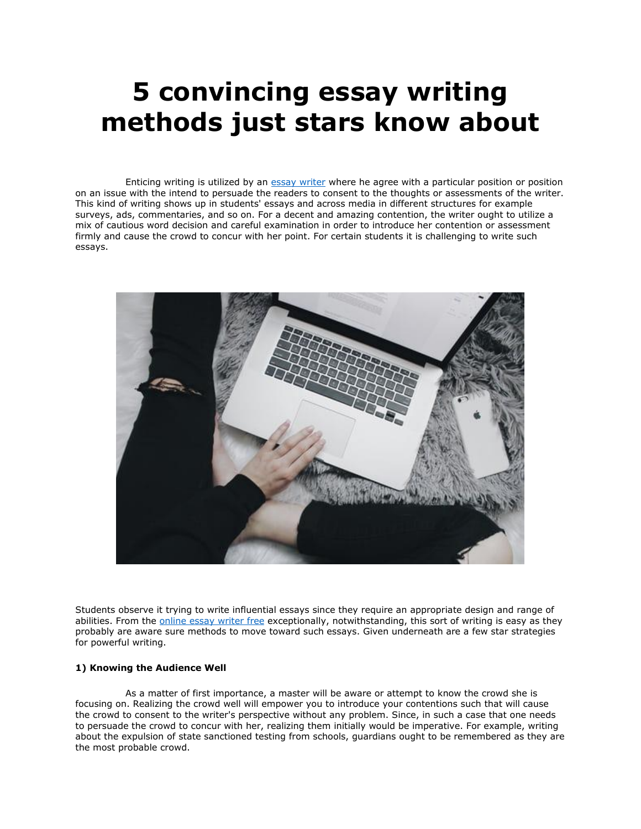# **5 convincing essay writing methods just stars know about**

 Enticing writing is utilized by an [essay writer](https://essaywriternow.com/) where he agree with a particular position or position on an issue with the intend to persuade the readers to consent to the thoughts or assessments of the writer. This kind of writing shows up in students' essays and across media in different structures for example surveys, ads, commentaries, and so on. For a decent and amazing contention, the writer ought to utilize a mix of cautious word decision and careful examination in order to introduce her contention or assessment firmly and cause the crowd to concur with her point. For certain students it is challenging to write such essays.



Students observe it trying to write influential essays since they require an appropriate design and range of abilities. From the [online essay writer free](https://essaywriternow.com/) exceptionally, notwithstanding, this sort of writing is easy as they probably are aware sure methods to move toward such essays. Given underneath are a few star strategies for powerful writing.

## **1) Knowing the Audience Well**

 As a matter of first importance, a master will be aware or attempt to know the crowd she is focusing on. Realizing the crowd well will empower you to introduce your contentions such that will cause the crowd to consent to the writer's perspective without any problem. Since, in such a case that one needs to persuade the crowd to concur with her, realizing them initially would be imperative. For example, writing about the expulsion of state sanctioned testing from schools, guardians ought to be remembered as they are the most probable crowd.